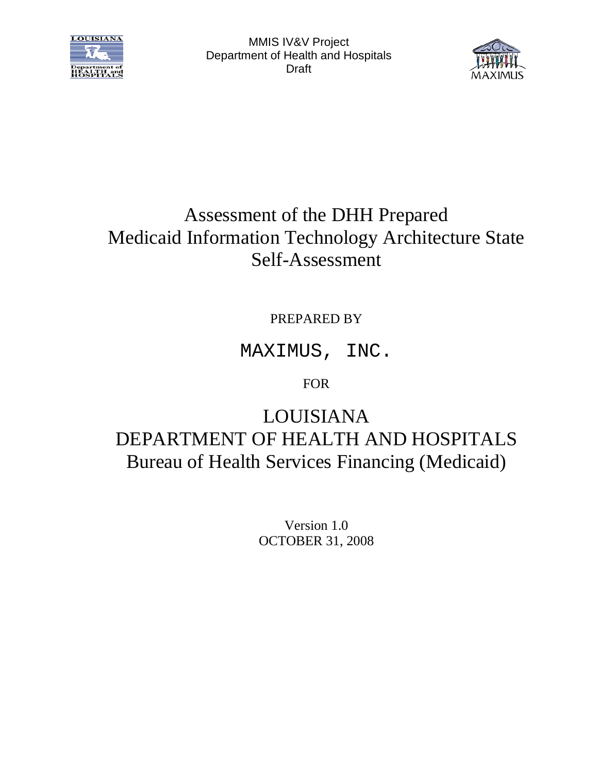



# Assessment of the DHH Prepared Medicaid Information Technology Architecture State Self-Assessment

PREPARED BY

MAXIMUS, INC.

FOR

LOUISIANA DEPARTMENT OF HEALTH AND HOSPITALS Bureau of Health Services Financing (Medicaid)

> Version 1.0 OCTOBER 31, 2008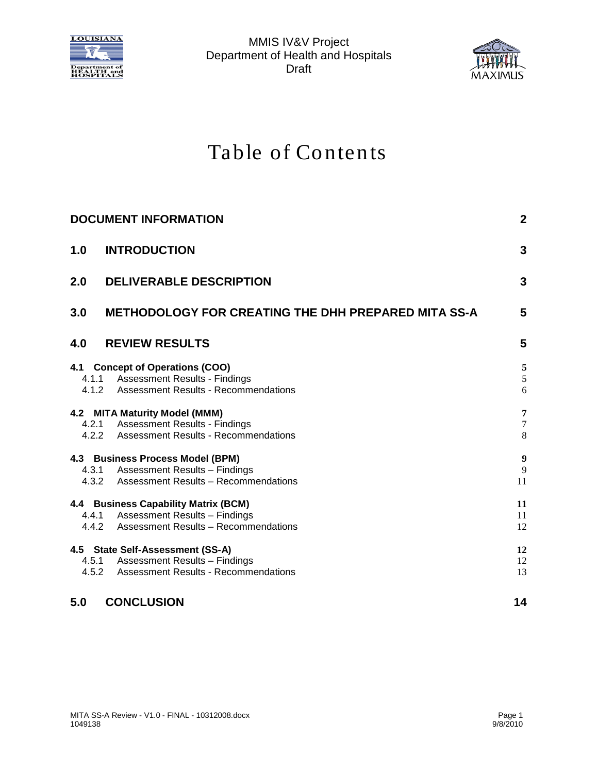



# Table of Contents

|     | <b>DOCUMENT INFORMATION</b>                                                                                               | $\mathbf{2}$                                  |
|-----|---------------------------------------------------------------------------------------------------------------------------|-----------------------------------------------|
| 1.0 | <b>INTRODUCTION</b>                                                                                                       | 3                                             |
| 2.0 | <b>DELIVERABLE DESCRIPTION</b>                                                                                            | 3                                             |
| 3.0 | <b>METHODOLOGY FOR CREATING THE DHH PREPARED MITA SS-A</b>                                                                | 5                                             |
| 4.0 | <b>REVIEW RESULTS</b>                                                                                                     | 5                                             |
|     | 4.1 Concept of Operations (COO)<br>4.1.1 Assessment Results - Findings<br>4.1.2 Assessment Results - Recommendations      | 5<br>$\sqrt{5}$<br>6                          |
|     | 4.2 MITA Maturity Model (MMM)<br>4.2.1 Assessment Results - Findings<br>4.2.2 Assessment Results - Recommendations        | $\overline{7}$<br>$\boldsymbol{7}$<br>$\,8\,$ |
|     | 4.3 Business Process Model (BPM)<br>4.3.1 Assessment Results - Findings<br>4.3.2 Assessment Results - Recommendations     | 9<br>9<br>11                                  |
|     | 4.4 Business Capability Matrix (BCM)<br>4.4.1 Assessment Results - Findings<br>4.4.2 Assessment Results - Recommendations | 11<br>11<br>12                                |
|     | 4.5 State Self-Assessment (SS-A)<br>4.5.1 Assessment Results - Findings<br>4.5.2 Assessment Results - Recommendations     | 12<br>12<br>13                                |
| 5.0 | <b>CONCLUSION</b>                                                                                                         | 14                                            |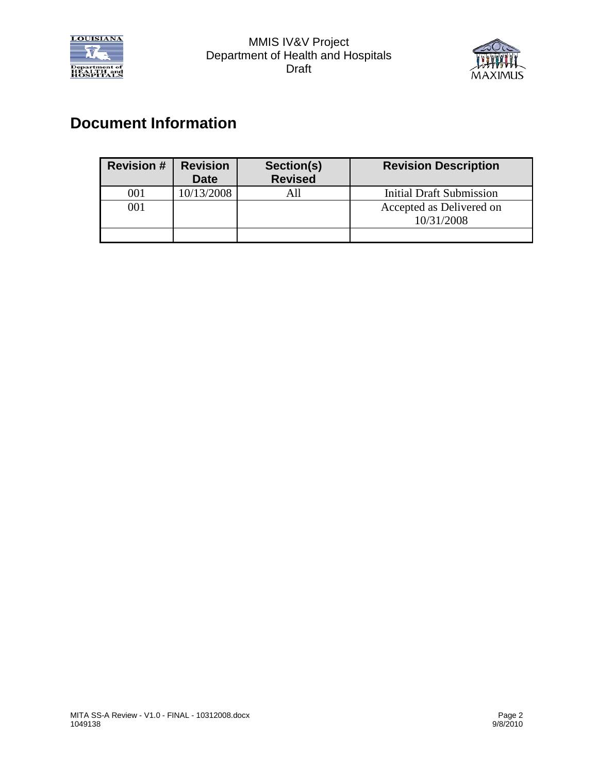



### <span id="page-2-0"></span>**Document Information**

| <b>Revision #</b> | <b>Revision</b><br><b>Date</b> | Section(s)<br><b>Revised</b> | <b>Revision Description</b>            |
|-------------------|--------------------------------|------------------------------|----------------------------------------|
| 001               | 10/13/2008                     |                              | <b>Initial Draft Submission</b>        |
| 001               |                                |                              | Accepted as Delivered on<br>10/31/2008 |
|                   |                                |                              |                                        |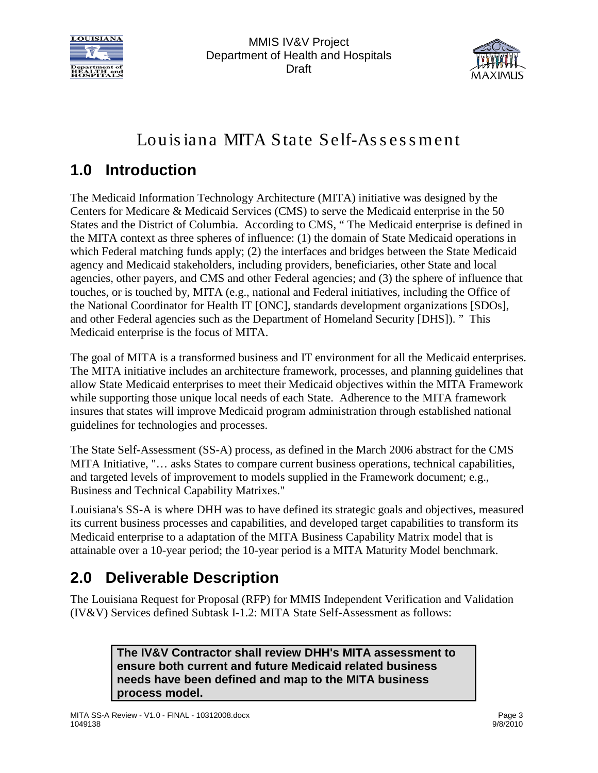



# Louis iana MITA State Self-Assessment

# <span id="page-3-0"></span>**1.0 Introduction**

The Medicaid Information Technology Architecture (MITA) initiative was designed by the Centers for Medicare & Medicaid Services (CMS) to serve the Medicaid enterprise in the 50 States and the District of Columbia. According to CMS, " The Medicaid enterprise is defined in the MITA context as three spheres of influence: (1) the domain of State Medicaid operations in which Federal matching funds apply; (2) the interfaces and bridges between the State Medicaid agency and Medicaid stakeholders, including providers, beneficiaries, other State and local agencies, other payers, and CMS and other Federal agencies; and (3) the sphere of influence that touches, or is touched by, MITA (e.g., national and Federal initiatives, including the Office of the National Coordinator for Health IT [ONC], standards development organizations [SDOs], and other Federal agencies such as the Department of Homeland Security [DHS]). " This Medicaid enterprise is the focus of MITA.

The goal of MITA is a transformed business and IT environment for all the Medicaid enterprises. The MITA initiative includes an architecture framework, processes, and planning guidelines that allow State Medicaid enterprises to meet their Medicaid objectives within the MITA Framework while supporting those unique local needs of each State. Adherence to the MITA framework insures that states will improve Medicaid program administration through established national guidelines for technologies and processes.

The State Self-Assessment (SS-A) process, as defined in the March 2006 abstract for the CMS MITA Initiative, "… asks States to compare current business operations, technical capabilities, and targeted levels of improvement to models supplied in the Framework document; e.g., Business and Technical Capability Matrixes."

Louisiana's SS-A is where DHH was to have defined its strategic goals and objectives, measured its current business processes and capabilities, and developed target capabilities to transform its Medicaid enterprise to a adaptation of the MITA Business Capability Matrix model that is attainable over a 10-year period; the 10-year period is a MITA Maturity Model benchmark.

# <span id="page-3-1"></span>**2.0 Deliverable Description**

The Louisiana Request for Proposal (RFP) for MMIS Independent Verification and Validation (IV&V) Services defined Subtask I-1.2: MITA State Self-Assessment as follows:

> **The IV&V Contractor shall review DHH's MITA assessment to ensure both current and future Medicaid related business needs have been defined and map to the MITA business process model.**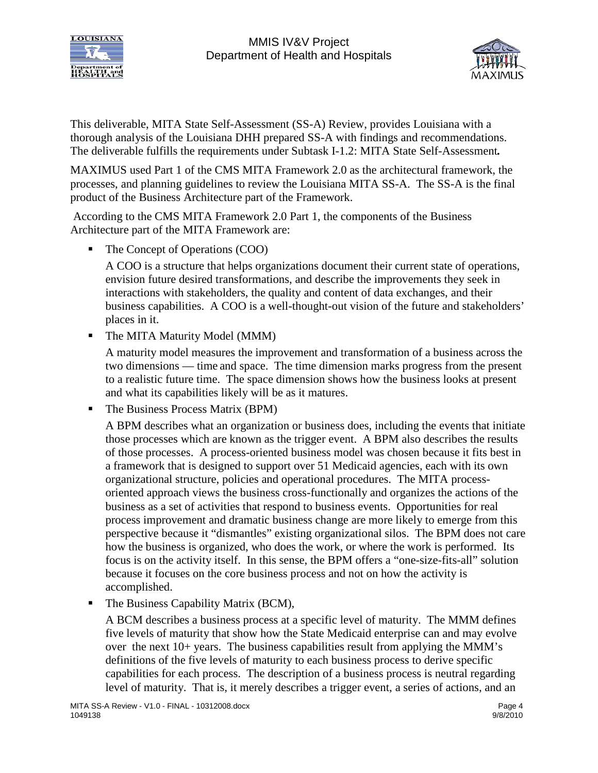



This deliverable, MITA State Self-Assessment (SS-A) Review, provides Louisiana with a thorough analysis of the Louisiana DHH prepared SS-A with findings and recommendations. The deliverable fulfills the requirements under Subtask I-1.2: MITA State Self-Assessment*.*

MAXIMUS used Part 1 of the CMS MITA Framework 2.0 as the architectural framework, the processes, and planning guidelines to review the Louisiana MITA SS-A. The SS-A is the final product of the Business Architecture part of the Framework.

According to the CMS MITA Framework 2.0 Part 1, the components of the Business Architecture part of the MITA Framework are:

• The Concept of Operations (COO)

A COO is a structure that helps organizations document their current state of operations, envision future desired transformations, and describe the improvements they seek in interactions with stakeholders, the quality and content of data exchanges, and their business capabilities. A COO is a well-thought-out vision of the future and stakeholders' places in it.

• The MITA Maturity Model (MMM)

A maturity model measures the improvement and transformation of a business across the two dimensions — time and space. The time dimension marks progress from the present to a realistic future time. The space dimension shows how the business looks at present and what its capabilities likely will be as it matures.

■ The Business Process Matrix (BPM)

A BPM describes what an organization or business does, including the events that initiate those processes which are known as the trigger event. A BPM also describes the results of those processes. A process-oriented business model was chosen because it fits best in a framework that is designed to support over 51 Medicaid agencies, each with its own organizational structure, policies and operational procedures. The MITA processoriented approach views the business cross-functionally and organizes the actions of the business as a set of activities that respond to business events. Opportunities for real process improvement and dramatic business change are more likely to emerge from this perspective because it "dismantles" existing organizational silos. The BPM does not care how the business is organized, who does the work, or where the work is performed. Its focus is on the activity itself. In this sense, the BPM offers a "one-size-fits-all" solution because it focuses on the core business process and not on how the activity is accomplished.

• The Business Capability Matrix (BCM),

A BCM describes a business process at a specific level of maturity. The MMM defines five levels of maturity that show how the State Medicaid enterprise can and may evolve over the next 10+ years. The business capabilities result from applying the MMM's definitions of the five levels of maturity to each business process to derive specific capabilities for each process. The description of a business process is neutral regarding level of maturity. That is, it merely describes a trigger event, a series of actions, and an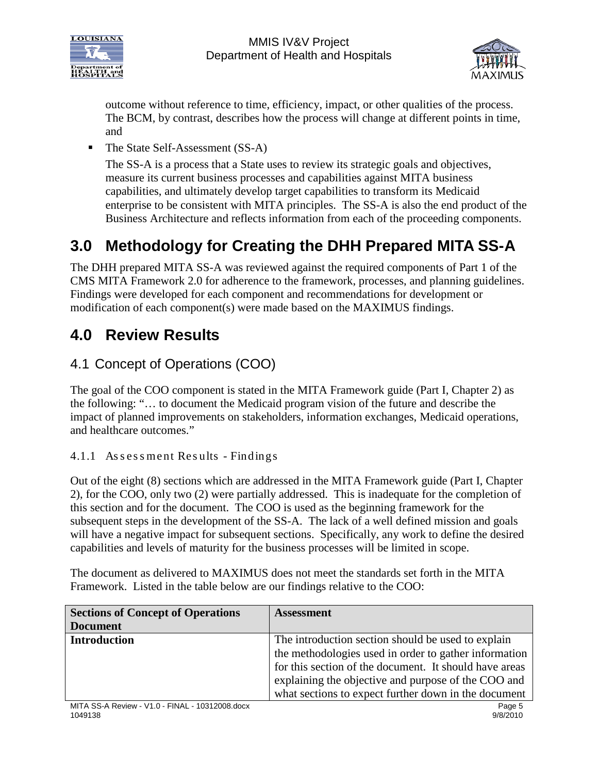



outcome without reference to time, efficiency, impact, or other qualities of the process. The BCM, by contrast, describes how the process will change at different points in time, and

• The State Self-Assessment (SS-A)

The SS-A is a process that a State uses to review its strategic goals and objectives, measure its current business processes and capabilities against MITA business capabilities, and ultimately develop target capabilities to transform its Medicaid enterprise to be consistent with MITA principles. The SS-A is also the end product of the Business Architecture and reflects information from each of the proceeding components.

# <span id="page-5-0"></span>**3.0 Methodology for Creating the DHH Prepared MITA SS-A**

The DHH prepared MITA SS-A was reviewed against the required components of Part 1 of the CMS MITA Framework 2.0 for adherence to the framework, processes, and planning guidelines. Findings were developed for each component and recommendations for development or modification of each component(s) were made based on the MAXIMUS findings.

### <span id="page-5-1"></span>**4.0 Review Results**

### <span id="page-5-2"></span>4.1 Concept of Operations (COO)

The goal of the COO component is stated in the MITA Framework guide (Part I, Chapter 2) as the following: "… to document the Medicaid program vision of the future and describe the impact of planned improvements on stakeholders, information exchanges, Medicaid operations, and healthcare outcomes."

#### <span id="page-5-3"></span>4.1.1 As s es s ment Res ults - Findings

Out of the eight (8) sections which are addressed in the MITA Framework guide (Part I, Chapter 2), for the COO, only two (2) were partially addressed. This is inadequate for the completion of this section and for the document. The COO is used as the beginning framework for the subsequent steps in the development of the SS-A. The lack of a well defined mission and goals will have a negative impact for subsequent sections. Specifically, any work to define the desired capabilities and levels of maturity for the business processes will be limited in scope.

The document as delivered to MAXIMUS does not meet the standards set forth in the MITA Framework. Listed in the table below are our findings relative to the COO:

| <b>Sections of Concept of Operations</b> | <b>Assessment</b>                                      |
|------------------------------------------|--------------------------------------------------------|
| <b>Document</b>                          |                                                        |
| <b>Introduction</b>                      | The introduction section should be used to explain     |
|                                          | the methodologies used in order to gather information  |
|                                          | for this section of the document. It should have areas |
|                                          | explaining the objective and purpose of the COO and    |
|                                          | what sections to expect further down in the document   |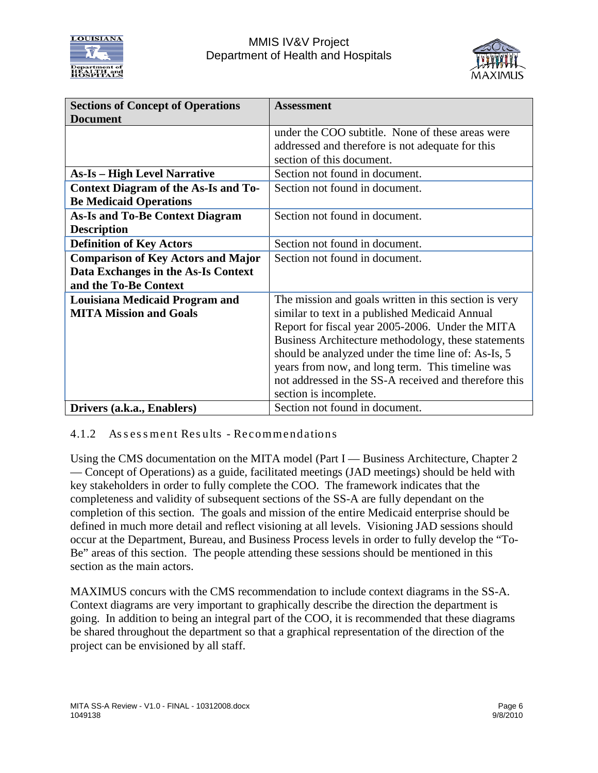



| <b>Sections of Concept of Operations</b>    | <b>Assessment</b>                                     |
|---------------------------------------------|-------------------------------------------------------|
| <b>Document</b>                             |                                                       |
|                                             | under the COO subtitle. None of these areas were      |
|                                             | addressed and therefore is not adequate for this      |
|                                             | section of this document.                             |
| <b>As-Is – High Level Narrative</b>         | Section not found in document.                        |
| <b>Context Diagram of the As-Is and To-</b> | Section not found in document.                        |
| <b>Be Medicaid Operations</b>               |                                                       |
| <b>As-Is and To-Be Context Diagram</b>      | Section not found in document.                        |
| <b>Description</b>                          |                                                       |
| <b>Definition of Key Actors</b>             | Section not found in document.                        |
| <b>Comparison of Key Actors and Major</b>   | Section not found in document.                        |
| Data Exchanges in the As-Is Context         |                                                       |
| and the To-Be Context                       |                                                       |
| <b>Louisiana Medicaid Program and</b>       | The mission and goals written in this section is very |
| <b>MITA Mission and Goals</b>               | similar to text in a published Medicaid Annual        |
|                                             | Report for fiscal year 2005-2006. Under the MITA      |
|                                             | Business Architecture methodology, these statements   |
|                                             | should be analyzed under the time line of: As-Is, 5   |
|                                             | years from now, and long term. This timeline was      |
|                                             | not addressed in the SS-A received and therefore this |
|                                             | section is incomplete.                                |
| Drivers (a.k.a., Enablers)                  | Section not found in document.                        |

#### <span id="page-6-0"></span>4.1.2 Assessment Results - Recommendations

Using the CMS documentation on the MITA model (Part I — Business Architecture, Chapter 2 — Concept of Operations) as a guide, facilitated meetings (JAD meetings) should be held with key stakeholders in order to fully complete the COO. The framework indicates that the completeness and validity of subsequent sections of the SS-A are fully dependant on the completion of this section. The goals and mission of the entire Medicaid enterprise should be defined in much more detail and reflect visioning at all levels. Visioning JAD sessions should occur at the Department, Bureau, and Business Process levels in order to fully develop the "To-Be" areas of this section. The people attending these sessions should be mentioned in this section as the main actors.

MAXIMUS concurs with the CMS recommendation to include context diagrams in the SS-A. Context diagrams are very important to graphically describe the direction the department is going. In addition to being an integral part of the COO, it is recommended that these diagrams be shared throughout the department so that a graphical representation of the direction of the project can be envisioned by all staff.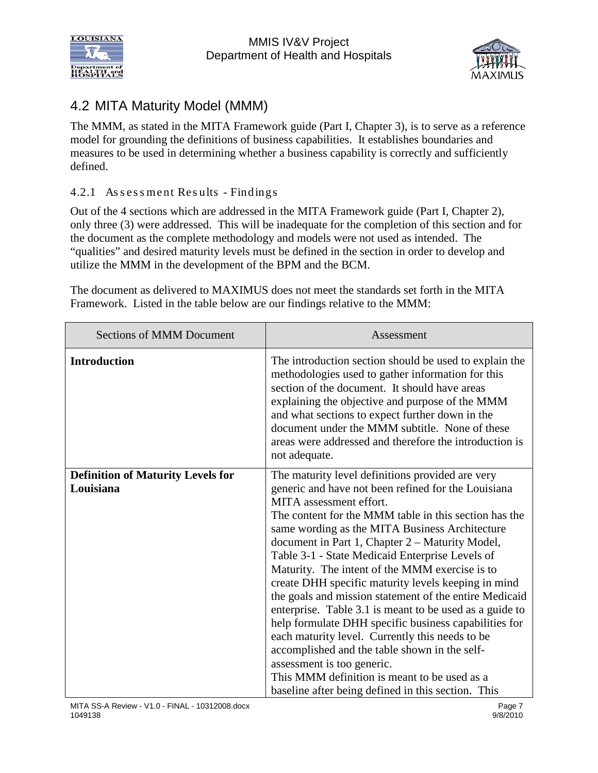



### 4.2 MITA Maturity Model (MMM)

<span id="page-7-0"></span>The MMM, as stated in the MITA Framework guide (Part I, Chapter 3), is to serve as a reference model for grounding the definitions of business capabilities. It establishes boundaries and measures to be used in determining whether a business capability is correctly and sufficiently defined.

#### <span id="page-7-1"></span>4.2.1 As sessment Results - Findings

Out of the 4 sections which are addressed in the MITA Framework guide (Part I, Chapter 2), only three (3) were addressed. This will be inadequate for the completion of this section and for the document as the complete methodology and models were not used as intended. The "qualities" and desired maturity levels must be defined in the section in order to develop and utilize the MMM in the development of the BPM and the BCM.

The document as delivered to MAXIMUS does not meet the standards set forth in the MITA Framework. Listed in the table below are our findings relative to the MMM:

| <b>Sections of MMM Document</b>                       | Assessment                                                                                                                                                                                                                                                                                                                                                                                                                                                                                                                                                                                                                                                                                                                                                                                                                                                                         |
|-------------------------------------------------------|------------------------------------------------------------------------------------------------------------------------------------------------------------------------------------------------------------------------------------------------------------------------------------------------------------------------------------------------------------------------------------------------------------------------------------------------------------------------------------------------------------------------------------------------------------------------------------------------------------------------------------------------------------------------------------------------------------------------------------------------------------------------------------------------------------------------------------------------------------------------------------|
| <b>Introduction</b>                                   | The introduction section should be used to explain the<br>methodologies used to gather information for this<br>section of the document. It should have areas<br>explaining the objective and purpose of the MMM<br>and what sections to expect further down in the<br>document under the MMM subtitle. None of these<br>areas were addressed and therefore the introduction is<br>not adequate.                                                                                                                                                                                                                                                                                                                                                                                                                                                                                    |
| <b>Definition of Maturity Levels for</b><br>Louisiana | The maturity level definitions provided are very<br>generic and have not been refined for the Louisiana<br>MITA assessment effort.<br>The content for the MMM table in this section has the<br>same wording as the MITA Business Architecture<br>document in Part 1, Chapter 2 – Maturity Model,<br>Table 3-1 - State Medicaid Enterprise Levels of<br>Maturity. The intent of the MMM exercise is to<br>create DHH specific maturity levels keeping in mind<br>the goals and mission statement of the entire Medicaid<br>enterprise. Table 3.1 is meant to be used as a guide to<br>help formulate DHH specific business capabilities for<br>each maturity level. Currently this needs to be<br>accomplished and the table shown in the self-<br>assessment is too generic.<br>This MMM definition is meant to be used as a<br>baseline after being defined in this section. This |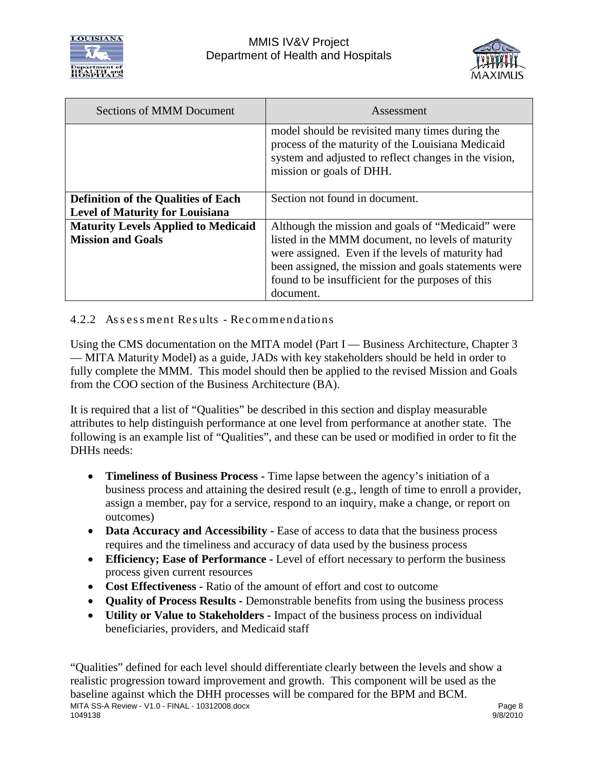



| <b>Sections of MMM Document</b>            | Assessment                                                                                                                                                                                |
|--------------------------------------------|-------------------------------------------------------------------------------------------------------------------------------------------------------------------------------------------|
|                                            | model should be revisited many times during the<br>process of the maturity of the Louisiana Medicaid<br>system and adjusted to reflect changes in the vision,<br>mission or goals of DHH. |
| <b>Definition of the Qualities of Each</b> | Section not found in document.                                                                                                                                                            |
| <b>Level of Maturity for Louisiana</b>     |                                                                                                                                                                                           |
| <b>Maturity Levels Applied to Medicaid</b> | Although the mission and goals of "Medicaid" were                                                                                                                                         |
| <b>Mission and Goals</b>                   | listed in the MMM document, no levels of maturity<br>were assigned. Even if the levels of maturity had                                                                                    |
|                                            | been assigned, the mission and goals statements were                                                                                                                                      |
|                                            | found to be insufficient for the purposes of this                                                                                                                                         |
|                                            |                                                                                                                                                                                           |
|                                            | document.                                                                                                                                                                                 |

#### <span id="page-8-0"></span>4.2.2 As s es s ment Res ults - Recommendations

Using the CMS documentation on the MITA model (Part I — Business Architecture, Chapter 3 — MITA Maturity Model) as a guide, JADs with key stakeholders should be held in order to fully complete the MMM. This model should then be applied to the revised Mission and Goals from the COO section of the Business Architecture (BA).

It is required that a list of "Qualities" be described in this section and display measurable attributes to help distinguish performance at one level from performance at another state. The following is an example list of "Qualities", and these can be used or modified in order to fit the DHHs needs:

- **Timeliness of Business Process -** Time lapse between the agency's initiation of a business process and attaining the desired result (e.g., length of time to enroll a provider, assign a member, pay for a service, respond to an inquiry, make a change, or report on outcomes)
- **Data Accuracy and Accessibility -** Ease of access to data that the business process requires and the timeliness and accuracy of data used by the business process
- **Efficiency; Ease of Performance -** Level of effort necessary to perform the business process given current resources
- **Cost Effectiveness -** Ratio of the amount of effort and cost to outcome
- **Quality of Process Results -** Demonstrable benefits from using the business process
- **Utility or Value to Stakeholders -** Impact of the business process on individual beneficiaries, providers, and Medicaid staff

MITA SS-A Review - V1.0 - FINAL - 10312008.docx exercises and the exercise of the exercise of the exercise of the exercise of the exercise of the exercise of the exercise of the exercise of the exercise of the exercise of 1049138 9/8/2010 "Qualities" defined for each level should differentiate clearly between the levels and show a realistic progression toward improvement and growth. This component will be used as the baseline against which the DHH processes will be compared for the BPM and BCM.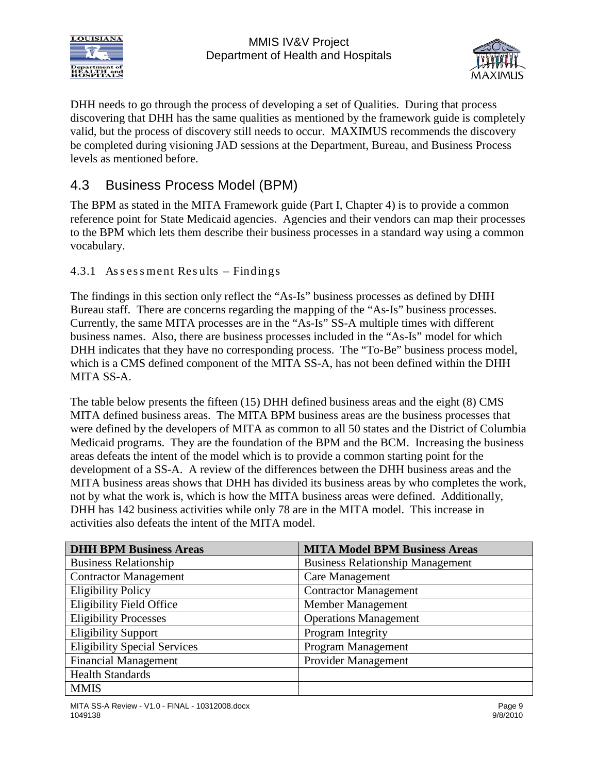



DHH needs to go through the process of developing a set of Qualities. During that process discovering that DHH has the same qualities as mentioned by the framework guide is completely valid, but the process of discovery still needs to occur. MAXIMUS recommends the discovery be completed during visioning JAD sessions at the Department, Bureau, and Business Process levels as mentioned before.

### <span id="page-9-0"></span>4.3 Business Process Model (BPM)

The BPM as stated in the MITA Framework guide (Part I, Chapter 4) is to provide a common reference point for State Medicaid agencies. Agencies and their vendors can map their processes to the BPM which lets them describe their business processes in a standard way using a common vocabulary.

#### <span id="page-9-1"></span>4.3.1 As s es s ment Res ults – Findings

The findings in this section only reflect the "As-Is" business processes as defined by DHH Bureau staff. There are concerns regarding the mapping of the "As-Is" business processes. Currently, the same MITA processes are in the "As-Is" SS-A multiple times with different business names. Also, there are business processes included in the "As-Is" model for which DHH indicates that they have no corresponding process. The "To-Be" business process model, which is a CMS defined component of the MITA SS-A, has not been defined within the DHH MITA SS-A.

The table below presents the fifteen (15) DHH defined business areas and the eight (8) CMS MITA defined business areas. The MITA BPM business areas are the business processes that were defined by the developers of MITA as common to all 50 states and the District of Columbia Medicaid programs. They are the foundation of the BPM and the BCM. Increasing the business areas defeats the intent of the model which is to provide a common starting point for the development of a SS-A. A review of the differences between the DHH business areas and the MITA business areas shows that DHH has divided its business areas by who completes the work, not by what the work is, which is how the MITA business areas were defined. Additionally, DHH has 142 business activities while only 78 are in the MITA model. This increase in activities also defeats the intent of the MITA model.

| <b>DHH BPM Business Areas</b>       | <b>MITA Model BPM Business Areas</b>    |
|-------------------------------------|-----------------------------------------|
| <b>Business Relationship</b>        | <b>Business Relationship Management</b> |
| <b>Contractor Management</b>        | <b>Care Management</b>                  |
| <b>Eligibility Policy</b>           | <b>Contractor Management</b>            |
| <b>Eligibility Field Office</b>     | Member Management                       |
| <b>Eligibility Processes</b>        | <b>Operations Management</b>            |
| <b>Eligibility Support</b>          | Program Integrity                       |
| <b>Eligibility Special Services</b> | Program Management                      |
| <b>Financial Management</b>         | Provider Management                     |
| <b>Health Standards</b>             |                                         |
| <b>MMIS</b>                         |                                         |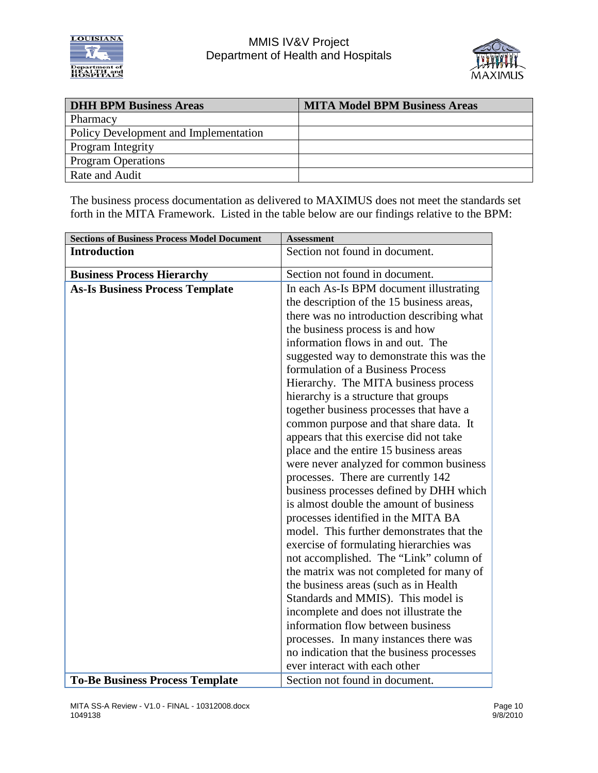



| <b>DHH BPM Business Areas</b>         | <b>MITA Model BPM Business Areas</b> |
|---------------------------------------|--------------------------------------|
| Pharmacy                              |                                      |
| Policy Development and Implementation |                                      |
| Program Integrity                     |                                      |
| <b>Program Operations</b>             |                                      |
| Rate and Audit                        |                                      |

The business process documentation as delivered to MAXIMUS does not meet the standards set forth in the MITA Framework. Listed in the table below are our findings relative to the BPM:

| <b>Sections of Business Process Model Document</b> | <b>Assessment</b>                                                                  |
|----------------------------------------------------|------------------------------------------------------------------------------------|
| <b>Introduction</b>                                | Section not found in document.                                                     |
| <b>Business Process Hierarchy</b>                  | Section not found in document.                                                     |
| <b>As-Is Business Process Template</b>             | In each As-Is BPM document illustrating                                            |
|                                                    | the description of the 15 business areas,                                          |
|                                                    | there was no introduction describing what                                          |
|                                                    | the business process is and how                                                    |
|                                                    | information flows in and out. The                                                  |
|                                                    | suggested way to demonstrate this was the                                          |
|                                                    | formulation of a Business Process                                                  |
|                                                    | Hierarchy. The MITA business process                                               |
|                                                    | hierarchy is a structure that groups                                               |
|                                                    | together business processes that have a                                            |
|                                                    | common purpose and that share data. It                                             |
|                                                    | appears that this exercise did not take                                            |
|                                                    | place and the entire 15 business areas                                             |
|                                                    | were never analyzed for common business                                            |
|                                                    | processes. There are currently 142                                                 |
|                                                    | business processes defined by DHH which                                            |
|                                                    | is almost double the amount of business                                            |
|                                                    | processes identified in the MITA BA                                                |
|                                                    | model. This further demonstrates that the                                          |
|                                                    | exercise of formulating hierarchies was                                            |
|                                                    | not accomplished. The "Link" column of                                             |
|                                                    | the matrix was not completed for many of<br>the business areas (such as in Health) |
|                                                    |                                                                                    |
|                                                    | Standards and MMIS). This model is                                                 |
|                                                    | incomplete and does not illustrate the<br>information flow between business        |
|                                                    | processes. In many instances there was                                             |
|                                                    | no indication that the business processes                                          |
|                                                    | ever interact with each other                                                      |
| <b>To-Be Business Process Template</b>             | Section not found in document.                                                     |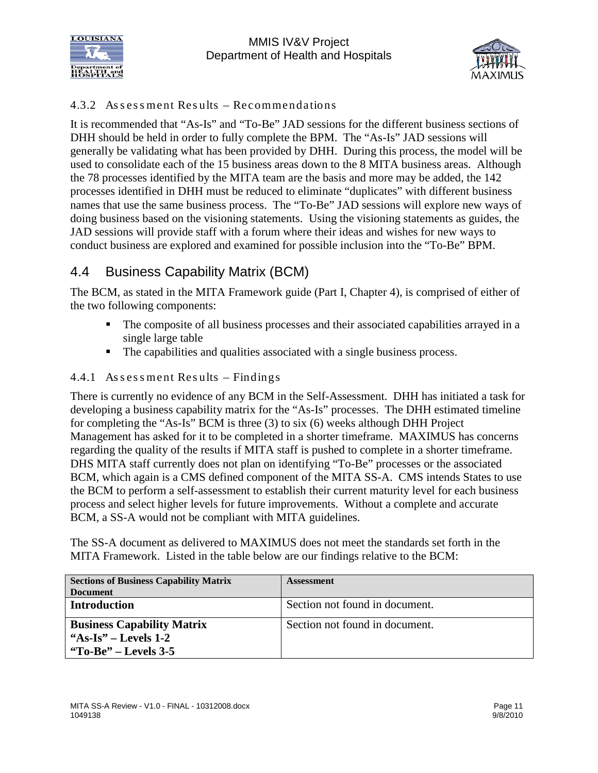



#### 4.3.2 As s es s ment Res ults – Recommendations

<span id="page-11-0"></span>It is recommended that "As-Is" and "To-Be" JAD sessions for the different business sections of DHH should be held in order to fully complete the BPM. The "As-Is" JAD sessions will generally be validating what has been provided by DHH. During this process, the model will be used to consolidate each of the 15 business areas down to the 8 MITA business areas. Although the 78 processes identified by the MITA team are the basis and more may be added, the 142 processes identified in DHH must be reduced to eliminate "duplicates" with different business names that use the same business process. The "To-Be" JAD sessions will explore new ways of doing business based on the visioning statements. Using the visioning statements as guides, the JAD sessions will provide staff with a forum where their ideas and wishes for new ways to conduct business are explored and examined for possible inclusion into the "To-Be" BPM.

### <span id="page-11-1"></span>4.4 Business Capability Matrix (BCM)

The BCM, as stated in the MITA Framework guide (Part I, Chapter 4), is comprised of either of the two following components:

- The composite of all business processes and their associated capabilities arrayed in a single large table
- The capabilities and qualities associated with a single business process.

#### <span id="page-11-2"></span>4.4.1 As s es s ment Res ults – Findings

There is currently no evidence of any BCM in the Self-Assessment. DHH has initiated a task for developing a business capability matrix for the "As-Is" processes. The DHH estimated timeline for completing the "As-Is" BCM is three (3) to six (6) weeks although DHH Project Management has asked for it to be completed in a shorter timeframe. MAXIMUS has concerns regarding the quality of the results if MITA staff is pushed to complete in a shorter timeframe. DHS MITA staff currently does not plan on identifying "To-Be" processes or the associated BCM, which again is a CMS defined component of the MITA SS-A. CMS intends States to use the BCM to perform a self-assessment to establish their current maturity level for each business process and select higher levels for future improvements. Without a complete and accurate BCM, a SS-A would not be compliant with MITA guidelines.

The SS-A document as delivered to MAXIMUS does not meet the standards set forth in the MITA Framework. Listed in the table below are our findings relative to the BCM:

| <b>Sections of Business Capability Matrix</b> | <b>Assessment</b>              |
|-----------------------------------------------|--------------------------------|
| <b>Document</b>                               |                                |
| <b>Introduction</b>                           | Section not found in document. |
| <b>Business Capability Matrix</b>             | Section not found in document. |
| "As-Is" – Levels $1-2$                        |                                |
| "To-Be" – Levels $3-5$                        |                                |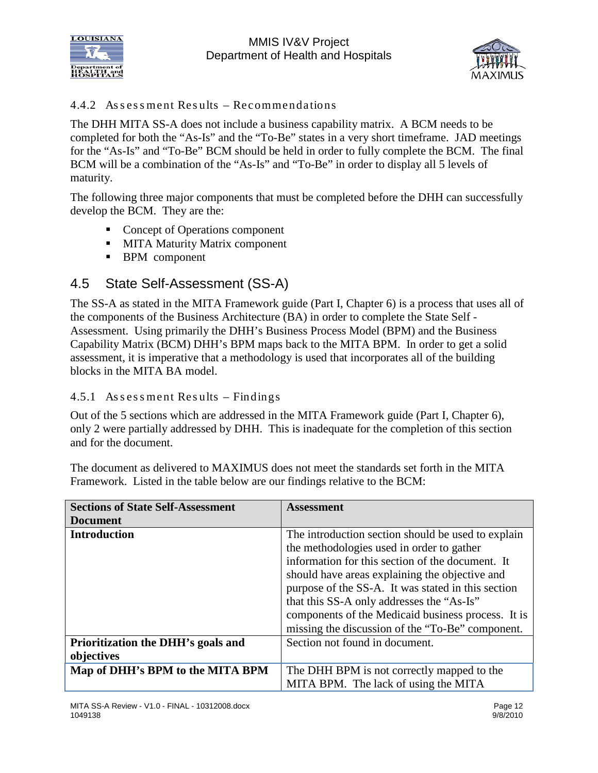



#### 4.4.2 As s es s ment Res ults – Recommendations

<span id="page-12-0"></span>The DHH MITA SS-A does not include a business capability matrix. A BCM needs to be completed for both the "As-Is" and the "To-Be" states in a very short timeframe. JAD meetings for the "As-Is" and "To-Be" BCM should be held in order to fully complete the BCM. The final BCM will be a combination of the "As-Is" and "To-Be" in order to display all 5 levels of maturity.

The following three major components that must be completed before the DHH can successfully develop the BCM. They are the:

- Concept of Operations component
- **MITA Maturity Matrix component**
- **BPM** component

### <span id="page-12-1"></span>4.5 State Self-Assessment (SS-A)

The SS-A as stated in the MITA Framework guide (Part I, Chapter 6) is a process that uses all of the components of the Business Architecture (BA) in order to complete the State Self - Assessment. Using primarily the DHH's Business Process Model (BPM) and the Business Capability Matrix (BCM) DHH's BPM maps back to the MITA BPM. In order to get a solid assessment, it is imperative that a methodology is used that incorporates all of the building blocks in the MITA BA model.

#### <span id="page-12-2"></span>4.5.1 As s es s ment Res ults – Findings

Out of the 5 sections which are addressed in the MITA Framework guide (Part I, Chapter 6), only 2 were partially addressed by DHH. This is inadequate for the completion of this section and for the document.

The document as delivered to MAXIMUS does not meet the standards set forth in the MITA Framework. Listed in the table below are our findings relative to the BCM:

| <b>Sections of State Self-Assessment</b> | <b>Assessment</b>                                  |
|------------------------------------------|----------------------------------------------------|
| <b>Document</b>                          |                                                    |
| <b>Introduction</b>                      | The introduction section should be used to explain |
|                                          | the methodologies used in order to gather          |
|                                          | information for this section of the document. It   |
|                                          | should have areas explaining the objective and     |
|                                          | purpose of the SS-A. It was stated in this section |
|                                          | that this SS-A only addresses the "As-Is"          |
|                                          | components of the Medicaid business process. It is |
|                                          | missing the discussion of the "To-Be" component.   |
| Prioritization the DHH's goals and       | Section not found in document.                     |
| objectives                               |                                                    |
| Map of DHH's BPM to the MITA BPM         | The DHH BPM is not correctly mapped to the         |
|                                          | MITA BPM. The lack of using the MITA               |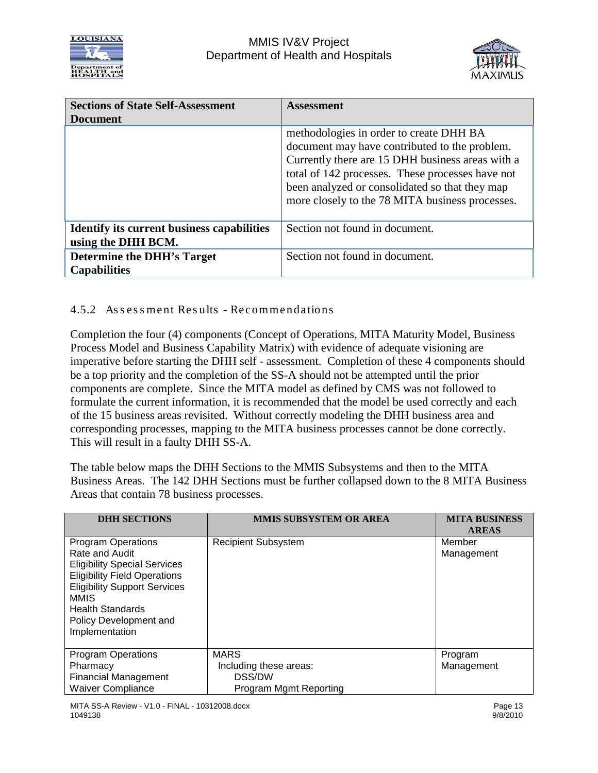



| <b>Sections of State Self-Assessment</b><br><b>Document</b>             | <b>Assessment</b>                                                                                                                                                                                                                                                                                     |
|-------------------------------------------------------------------------|-------------------------------------------------------------------------------------------------------------------------------------------------------------------------------------------------------------------------------------------------------------------------------------------------------|
|                                                                         | methodologies in order to create DHH BA<br>document may have contributed to the problem.<br>Currently there are 15 DHH business areas with a<br>total of 142 processes. These processes have not<br>been analyzed or consolidated so that they map<br>more closely to the 78 MITA business processes. |
| <b>Identify its current business capabilities</b><br>using the DHH BCM. | Section not found in document.                                                                                                                                                                                                                                                                        |
| <b>Determine the DHH's Target</b><br><b>Capabilities</b>                | Section not found in document.                                                                                                                                                                                                                                                                        |

#### <span id="page-13-0"></span>4.5.2 Assessment Results - Recommendations

Completion the four (4) components (Concept of Operations, MITA Maturity Model, Business Process Model and Business Capability Matrix) with evidence of adequate visioning are imperative before starting the DHH self - assessment. Completion of these 4 components should be a top priority and the completion of the SS-A should not be attempted until the prior components are complete. Since the MITA model as defined by CMS was not followed to formulate the current information, it is recommended that the model be used correctly and each of the 15 business areas revisited. Without correctly modeling the DHH business area and corresponding processes, mapping to the MITA business processes cannot be done correctly. This will result in a faulty DHH SS-A.

The table below maps the DHH Sections to the MMIS Subsystems and then to the MITA Business Areas. The 142 DHH Sections must be further collapsed down to the 8 MITA Business Areas that contain 78 business processes.

| <b>DHH SECTIONS</b>                                                                                                                                                                                                                             | <b>MMIS SUBSYSTEM OR AREA</b>                                             | <b>MITA BUSINESS</b><br><b>AREAS</b> |
|-------------------------------------------------------------------------------------------------------------------------------------------------------------------------------------------------------------------------------------------------|---------------------------------------------------------------------------|--------------------------------------|
| <b>Program Operations</b><br>Rate and Audit<br><b>Eligibility Special Services</b><br><b>Eligibility Field Operations</b><br><b>Eligibility Support Services</b><br>MMIS<br><b>Health Standards</b><br>Policy Development and<br>Implementation | <b>Recipient Subsystem</b>                                                | Member<br>Management                 |
| <b>Program Operations</b><br>Pharmacy<br><b>Financial Management</b><br><b>Waiver Compliance</b>                                                                                                                                                | <b>MARS</b><br>Including these areas:<br>DSS/DW<br>Program Mgmt Reporting | Program<br>Management                |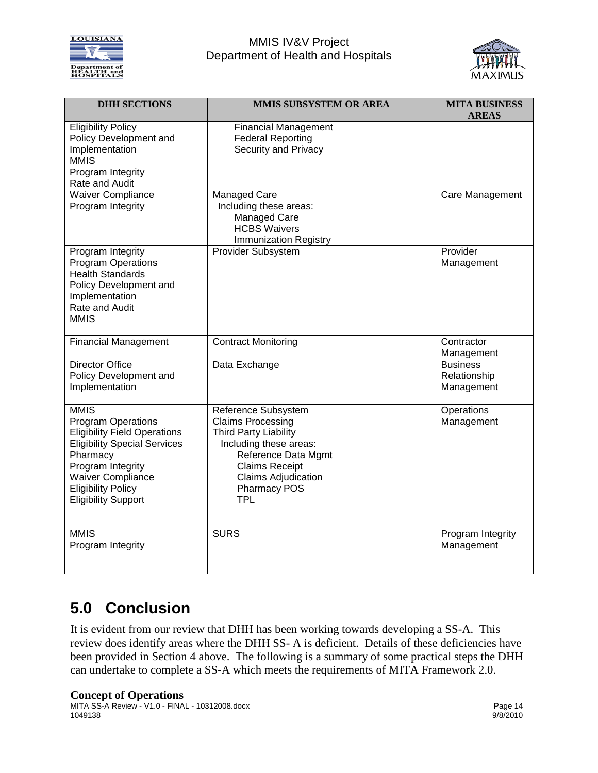

#### MMIS IV&V Project Department of Health and Hospitals



| <b>DHH SECTIONS</b>                                                                                                                                                                                                                            | MMIS SUBSYSTEM OR AREA                                                                                                                                                                                                       | <b>MITA BUSINESS</b><br><b>AREAS</b>          |
|------------------------------------------------------------------------------------------------------------------------------------------------------------------------------------------------------------------------------------------------|------------------------------------------------------------------------------------------------------------------------------------------------------------------------------------------------------------------------------|-----------------------------------------------|
| <b>Eligibility Policy</b><br>Policy Development and<br>Implementation<br><b>MMIS</b><br>Program Integrity<br>Rate and Audit                                                                                                                    | <b>Financial Management</b><br><b>Federal Reporting</b><br>Security and Privacy                                                                                                                                              |                                               |
| <b>Waiver Compliance</b><br>Program Integrity                                                                                                                                                                                                  | Managed Care<br>Including these areas:<br>Managed Care<br><b>HCBS Waivers</b><br><b>Immunization Registry</b>                                                                                                                | Care Management                               |
| <b>Program Integrity</b><br><b>Program Operations</b><br><b>Health Standards</b><br>Policy Development and<br>Implementation<br>Rate and Audit<br><b>MMIS</b>                                                                                  | <b>Provider Subsystem</b>                                                                                                                                                                                                    | Provider<br>Management                        |
| <b>Financial Management</b>                                                                                                                                                                                                                    | <b>Contract Monitoring</b>                                                                                                                                                                                                   | Contractor<br>Management                      |
| <b>Director Office</b><br>Policy Development and<br>Implementation                                                                                                                                                                             | Data Exchange                                                                                                                                                                                                                | <b>Business</b><br>Relationship<br>Management |
| <b>MMIS</b><br><b>Program Operations</b><br><b>Eligibility Field Operations</b><br><b>Eligibility Special Services</b><br>Pharmacy<br>Program Integrity<br><b>Waiver Compliance</b><br><b>Eligibility Policy</b><br><b>Eligibility Support</b> | Reference Subsystem<br><b>Claims Processing</b><br><b>Third Party Liability</b><br>Including these areas:<br>Reference Data Mgmt<br><b>Claims Receipt</b><br><b>Claims Adjudication</b><br><b>Pharmacy POS</b><br><b>TPL</b> | Operations<br>Management                      |
| <b>MMIS</b><br>Program Integrity                                                                                                                                                                                                               | <b>SURS</b>                                                                                                                                                                                                                  | Program Integrity<br>Management               |

# <span id="page-14-0"></span>**5.0 Conclusion**

It is evident from our review that DHH has been working towards developing a SS-A. This review does identify areas where the DHH SS- A is deficient. Details of these deficiencies have been provided in Section 4 above. The following is a summary of some practical steps the DHH can undertake to complete a SS-A which meets the requirements of MITA Framework 2.0.

#### **Concept of Operations**

MITA SS-A Review - V1.0 - FINAL - 10312008.docx Page 14 1049138 9/8/2010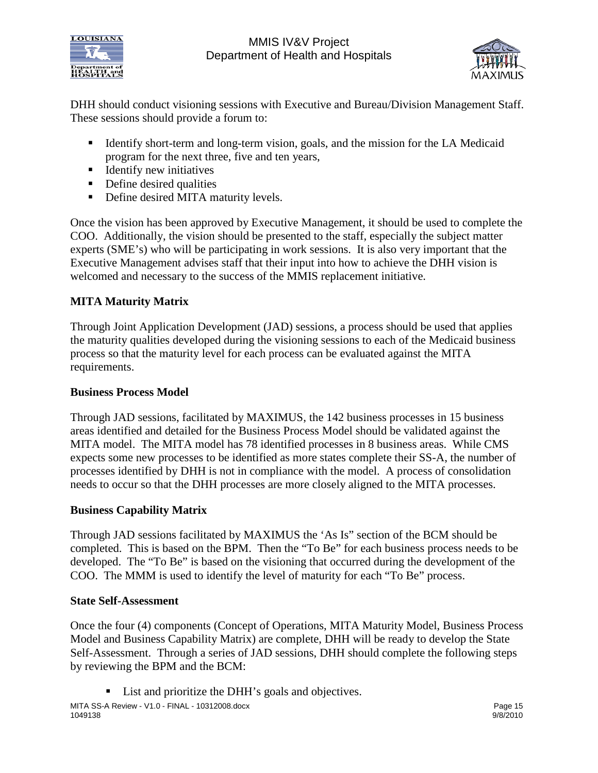



DHH should conduct visioning sessions with Executive and Bureau/Division Management Staff. These sessions should provide a forum to:

- Identify short-term and long-term vision, goals, and the mission for the LA Medicaid program for the next three, five and ten years,
- $\blacksquare$  Identify new initiatives
- Define desired qualities
- Define desired MITA maturity levels.

Once the vision has been approved by Executive Management, it should be used to complete the COO. Additionally, the vision should be presented to the staff, especially the subject matter experts (SME's) who will be participating in work sessions. It is also very important that the Executive Management advises staff that their input into how to achieve the DHH vision is welcomed and necessary to the success of the MMIS replacement initiative.

### **MITA Maturity Matrix**

Through Joint Application Development (JAD) sessions, a process should be used that applies the maturity qualities developed during the visioning sessions to each of the Medicaid business process so that the maturity level for each process can be evaluated against the MITA requirements.

#### **Business Process Model**

Through JAD sessions, facilitated by MAXIMUS, the 142 business processes in 15 business areas identified and detailed for the Business Process Model should be validated against the MITA model. The MITA model has 78 identified processes in 8 business areas. While CMS expects some new processes to be identified as more states complete their SS-A, the number of processes identified by DHH is not in compliance with the model. A process of consolidation needs to occur so that the DHH processes are more closely aligned to the MITA processes.

#### **Business Capability Matrix**

Through JAD sessions facilitated by MAXIMUS the 'As Is" section of the BCM should be completed. This is based on the BPM. Then the "To Be" for each business process needs to be developed. The "To Be" is based on the visioning that occurred during the development of the COO. The MMM is used to identify the level of maturity for each "To Be" process.

#### **State Self-Assessment**

Once the four (4) components (Concept of Operations, MITA Maturity Model, Business Process Model and Business Capability Matrix) are complete, DHH will be ready to develop the State Self-Assessment. Through a series of JAD sessions, DHH should complete the following steps by reviewing the BPM and the BCM:

■ List and prioritize the DHH's goals and objectives.